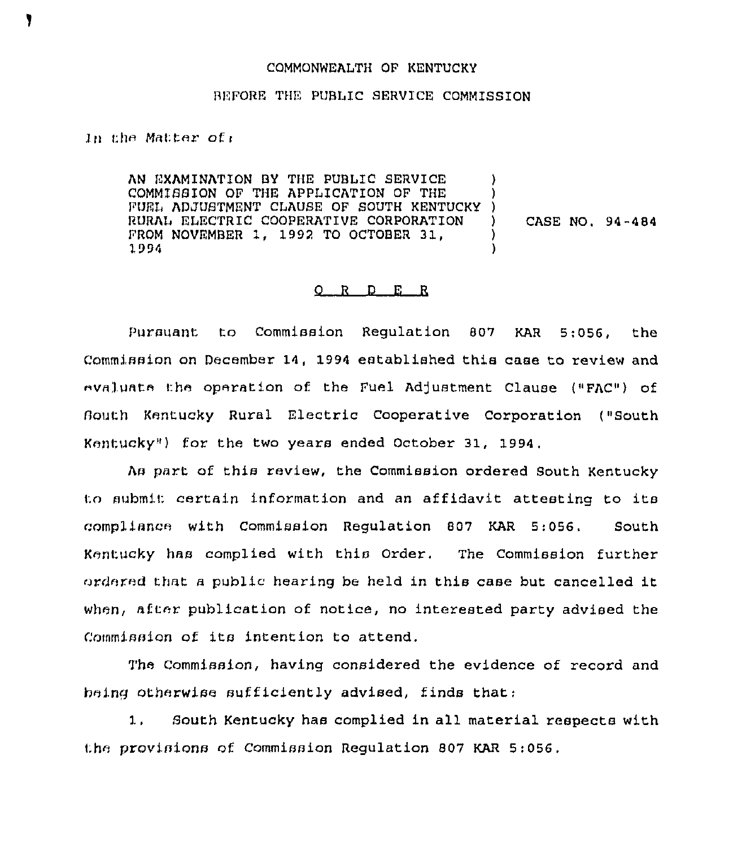## COMMONWEALTH OF KENTUCKY

## BEFORE THE PUBLIC SERVICE COMMISSION

In the Matter of  $\epsilon$ 

AN EXAMINATION BY THE PUBLIC SERVICE COMM1SSION OF THE APPLICATION OF THE COMMISSION OF THE APPLICATION OF THE TOWNISS.<br>FUEL ADJUSTMENT CLAUSE OF SOUTH KENTUCKY ) RURAI ELECTRIC COOPERATIVE CORPORATION FROM NOVEMBER 1, 1992 TO OCTOBER 31, 1994 ) ) ) CASE NO. 94-484 ) )

## 0 <sup>R</sup> <sup>D</sup> E <sup>R</sup>

Pursuant to Commission Regulation 807 KAR 5; 056, the Commission on December 14, 1994 established this case to review and evaluate the operation of the Fuel Adjustment Clause ("FAC") of {)outh Kentucky Rural Electric Cooperative Corporation { "South Kentucky") for the two years ended October 31, 1994,

As part of this review, the Commission ordered South Kentucky to submit certain information and an affidavit attesting to its compliance with Commission Regulation 807 KAR 5:056, South KentucKy has complied with this Order. The Commission further ordered that a public hearing be held in this case but cancelled it when, after publication of notice, no interested party advised the Commission of its intention to attend.

The Commission, having considered the evidence of record and being otherwise sufficiently advised, finds that:

1, South Kentucky has complied in all material respects with the provisions of Commission Regulation 807 KAR 5:056,

1